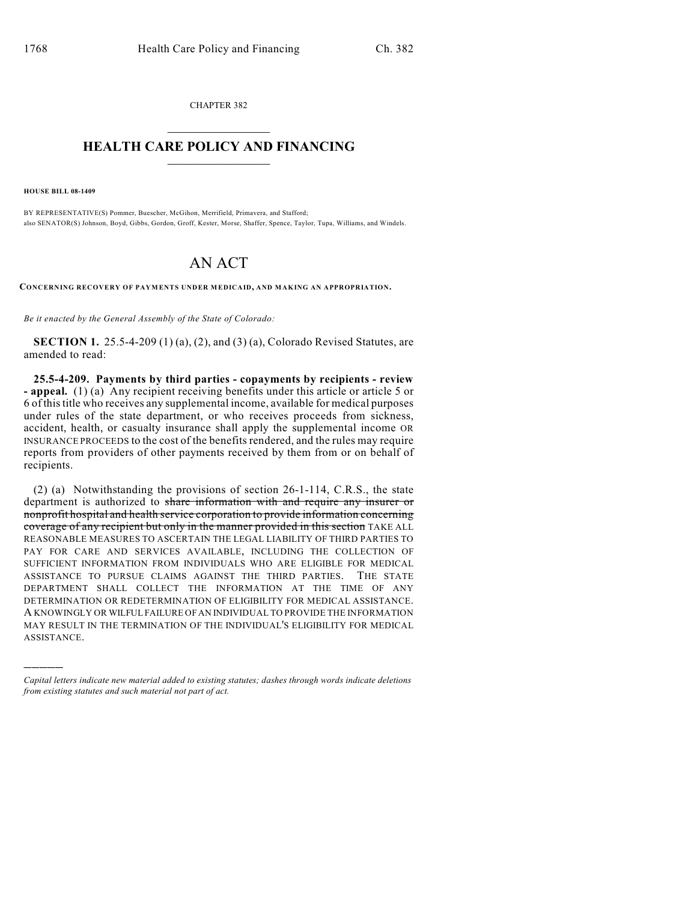CHAPTER 382  $\mathcal{L}_\text{max}$  . The set of the set of the set of the set of the set of the set of the set of the set of the set of the set of the set of the set of the set of the set of the set of the set of the set of the set of the set

## **HEALTH CARE POLICY AND FINANCING**  $\_$   $\_$   $\_$   $\_$   $\_$   $\_$   $\_$   $\_$

**HOUSE BILL 08-1409**

)))))

BY REPRESENTATIVE(S) Pommer, Buescher, McGihon, Merrifield, Primavera, and Stafford; also SENATOR(S) Johnson, Boyd, Gibbs, Gordon, Groff, Kester, Morse, Shaffer, Spence, Taylor, Tupa, Williams, and Windels.

## AN ACT

**CONCERNING RECOVERY OF PAYMENTS UNDER MEDICAID, AND MAKING AN APPROPRIATION.**

*Be it enacted by the General Assembly of the State of Colorado:*

**SECTION 1.** 25.5-4-209 (1) (a), (2), and (3) (a), Colorado Revised Statutes, are amended to read:

**25.5-4-209. Payments by third parties - copayments by recipients - review - appeal.** (1) (a) Any recipient receiving benefits under this article or article 5 or 6 of this title who receives any supplemental income, available for medical purposes under rules of the state department, or who receives proceeds from sickness, accident, health, or casualty insurance shall apply the supplemental income OR INSURANCE PROCEEDS to the cost of the benefits rendered, and the rules may require reports from providers of other payments received by them from or on behalf of recipients.

(2) (a) Notwithstanding the provisions of section 26-1-114, C.R.S., the state department is authorized to share information with and require any insurer or nonprofit hospital and health service corporation to provide information concerning coverage of any recipient but only in the manner provided in this section TAKE ALL REASONABLE MEASURES TO ASCERTAIN THE LEGAL LIABILITY OF THIRD PARTIES TO PAY FOR CARE AND SERVICES AVAILABLE, INCLUDING THE COLLECTION OF SUFFICIENT INFORMATION FROM INDIVIDUALS WHO ARE ELIGIBLE FOR MEDICAL ASSISTANCE TO PURSUE CLAIMS AGAINST THE THIRD PARTIES. THE STATE DEPARTMENT SHALL COLLECT THE INFORMATION AT THE TIME OF ANY DETERMINATION OR REDETERMINATION OF ELIGIBILITY FOR MEDICAL ASSISTANCE. A KNOWINGLY OR WILFUL FAILURE OF AN INDIVIDUAL TO PROVIDE THE INFORMATION MAY RESULT IN THE TERMINATION OF THE INDIVIDUAL'S ELIGIBILITY FOR MEDICAL ASSISTANCE.

*Capital letters indicate new material added to existing statutes; dashes through words indicate deletions from existing statutes and such material not part of act.*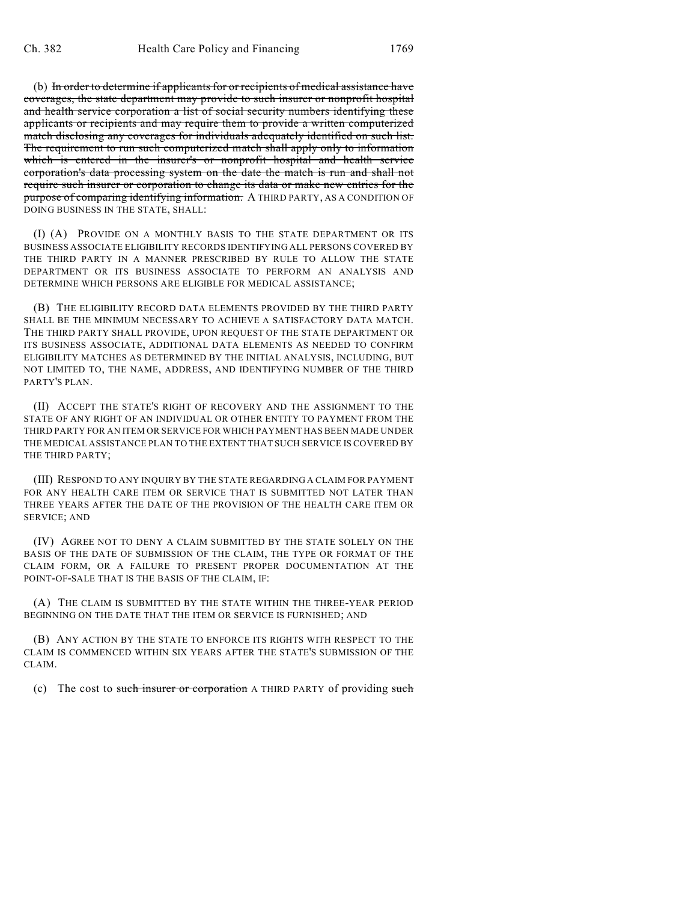(b) In order to determine if applicants for or recipients of medical assistance have coverages, the state department may provide to such insurer or nonprofit hospital and health service corporation a list of social security numbers identifying these applicants or recipients and may require them to provide a written computerized match disclosing any coverages for individuals adequately identified on such list. The requirement to run such computerized match shall apply only to information which is entered in the insurer's or nonprofit hospital and health service corporation's data processing system on the date the match is run and shall not require such insurer or corporation to change its data or make new entries for the purpose of comparing identifying information. A THIRD PARTY, AS A CONDITION OF DOING BUSINESS IN THE STATE, SHALL:

(I) (A) PROVIDE ON A MONTHLY BASIS TO THE STATE DEPARTMENT OR ITS BUSINESS ASSOCIATE ELIGIBILITY RECORDS IDENTIFYING ALL PERSONS COVERED BY THE THIRD PARTY IN A MANNER PRESCRIBED BY RULE TO ALLOW THE STATE DEPARTMENT OR ITS BUSINESS ASSOCIATE TO PERFORM AN ANALYSIS AND DETERMINE WHICH PERSONS ARE ELIGIBLE FOR MEDICAL ASSISTANCE;

(B) THE ELIGIBILITY RECORD DATA ELEMENTS PROVIDED BY THE THIRD PARTY SHALL BE THE MINIMUM NECESSARY TO ACHIEVE A SATISFACTORY DATA MATCH. THE THIRD PARTY SHALL PROVIDE, UPON REQUEST OF THE STATE DEPARTMENT OR ITS BUSINESS ASSOCIATE, ADDITIONAL DATA ELEMENTS AS NEEDED TO CONFIRM ELIGIBILITY MATCHES AS DETERMINED BY THE INITIAL ANALYSIS, INCLUDING, BUT NOT LIMITED TO, THE NAME, ADDRESS, AND IDENTIFYING NUMBER OF THE THIRD PARTY'S PLAN.

(II) ACCEPT THE STATE'S RIGHT OF RECOVERY AND THE ASSIGNMENT TO THE STATE OF ANY RIGHT OF AN INDIVIDUAL OR OTHER ENTITY TO PAYMENT FROM THE THIRD PARTY FOR AN ITEM OR SERVICE FOR WHICH PAYMENT HAS BEEN MADE UNDER THE MEDICAL ASSISTANCE PLAN TO THE EXTENT THAT SUCH SERVICE IS COVERED BY THE THIRD PARTY;

(III) RESPOND TO ANY INQUIRY BY THE STATE REGARDING A CLAIM FOR PAYMENT FOR ANY HEALTH CARE ITEM OR SERVICE THAT IS SUBMITTED NOT LATER THAN THREE YEARS AFTER THE DATE OF THE PROVISION OF THE HEALTH CARE ITEM OR SERVICE; AND

(IV) AGREE NOT TO DENY A CLAIM SUBMITTED BY THE STATE SOLELY ON THE BASIS OF THE DATE OF SUBMISSION OF THE CLAIM, THE TYPE OR FORMAT OF THE CLAIM FORM, OR A FAILURE TO PRESENT PROPER DOCUMENTATION AT THE POINT-OF-SALE THAT IS THE BASIS OF THE CLAIM, IF:

(A) THE CLAIM IS SUBMITTED BY THE STATE WITHIN THE THREE-YEAR PERIOD BEGINNING ON THE DATE THAT THE ITEM OR SERVICE IS FURNISHED; AND

(B) ANY ACTION BY THE STATE TO ENFORCE ITS RIGHTS WITH RESPECT TO THE CLAIM IS COMMENCED WITHIN SIX YEARS AFTER THE STATE'S SUBMISSION OF THE CLAIM.

(c) The cost to such insurer or corporation A THIRD PARTY of providing such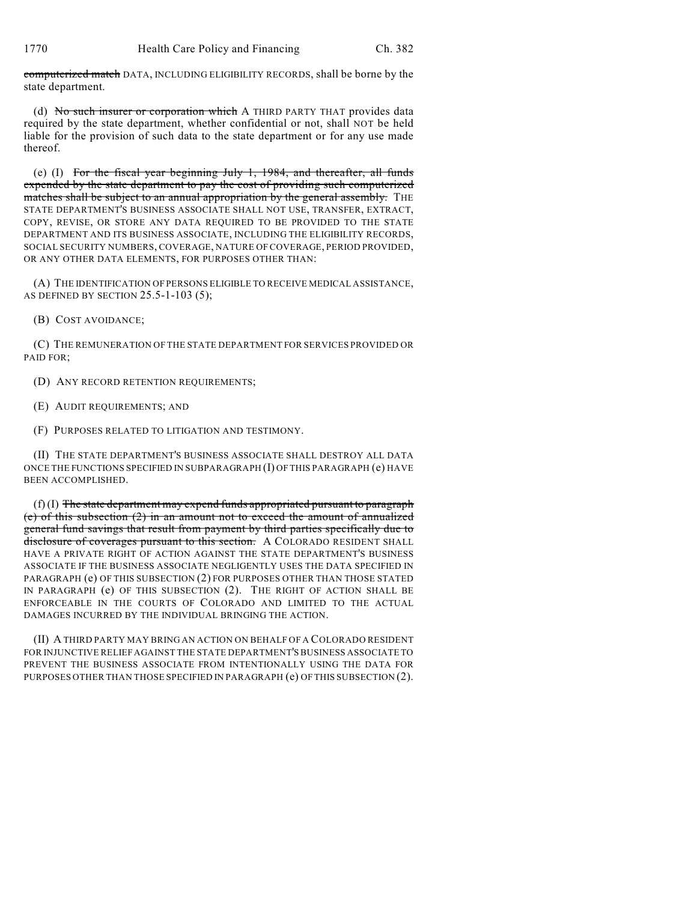computerized match DATA, INCLUDING ELIGIBILITY RECORDS, shall be borne by the state department.

(d) No such insurer or corporation which A THIRD PARTY THAT provides data required by the state department, whether confidential or not, shall NOT be held liable for the provision of such data to the state department or for any use made thereof.

(e) (I) For the fiscal year beginning July 1, 1984, and thereafter, all funds expended by the state department to pay the cost of providing such computerized matches shall be subject to an annual appropriation by the general assembly. THE STATE DEPARTMENT'S BUSINESS ASSOCIATE SHALL NOT USE, TRANSFER, EXTRACT, COPY, REVISE, OR STORE ANY DATA REQUIRED TO BE PROVIDED TO THE STATE DEPARTMENT AND ITS BUSINESS ASSOCIATE, INCLUDING THE ELIGIBILITY RECORDS, SOCIAL SECURITY NUMBERS, COVERAGE, NATURE OF COVERAGE, PERIOD PROVIDED, OR ANY OTHER DATA ELEMENTS, FOR PURPOSES OTHER THAN:

(A) THE IDENTIFICATION OF PERSONS ELIGIBLE TO RECEIVE MEDICAL ASSISTANCE, AS DEFINED BY SECTION 25.5-1-103 (5);

(B) COST AVOIDANCE;

(C) THE REMUNERATION OF THE STATE DEPARTMENT FOR SERVICES PROVIDED OR PAID FOR;

(D) ANY RECORD RETENTION REQUIREMENTS;

(E) AUDIT REQUIREMENTS; AND

(F) PURPOSES RELATED TO LITIGATION AND TESTIMONY.

(II) THE STATE DEPARTMENT'S BUSINESS ASSOCIATE SHALL DESTROY ALL DATA ONCE THE FUNCTIONS SPECIFIED IN SUBPARAGRAPH (I) OF THIS PARAGRAPH (e) HAVE BEEN ACCOMPLISHED.

 $(f)$  (I) The state department may expend funds appropriated pursuant to paragraph (e) of this subsection (2) in an amount not to exceed the amount of annualized general fund savings that result from payment by third parties specifically due to disclosure of coverages pursuant to this section. A COLORADO RESIDENT SHALL HAVE A PRIVATE RIGHT OF ACTION AGAINST THE STATE DEPARTMENT'S BUSINESS ASSOCIATE IF THE BUSINESS ASSOCIATE NEGLIGENTLY USES THE DATA SPECIFIED IN PARAGRAPH (e) OF THIS SUBSECTION (2) FOR PURPOSES OTHER THAN THOSE STATED IN PARAGRAPH (e) OF THIS SUBSECTION (2). THE RIGHT OF ACTION SHALL BE ENFORCEABLE IN THE COURTS OF COLORADO AND LIMITED TO THE ACTUAL DAMAGES INCURRED BY THE INDIVIDUAL BRINGING THE ACTION.

(II) A THIRD PARTY MAY BRING AN ACTION ON BEHALF OF A COLORADO RESIDENT FOR INJUNCTIVE RELIEF AGAINST THE STATE DEPARTMENT'S BUSINESS ASSOCIATE TO PREVENT THE BUSINESS ASSOCIATE FROM INTENTIONALLY USING THE DATA FOR PURPOSES OTHER THAN THOSE SPECIFIED IN PARAGRAPH (e) OF THIS SUBSECTION (2).